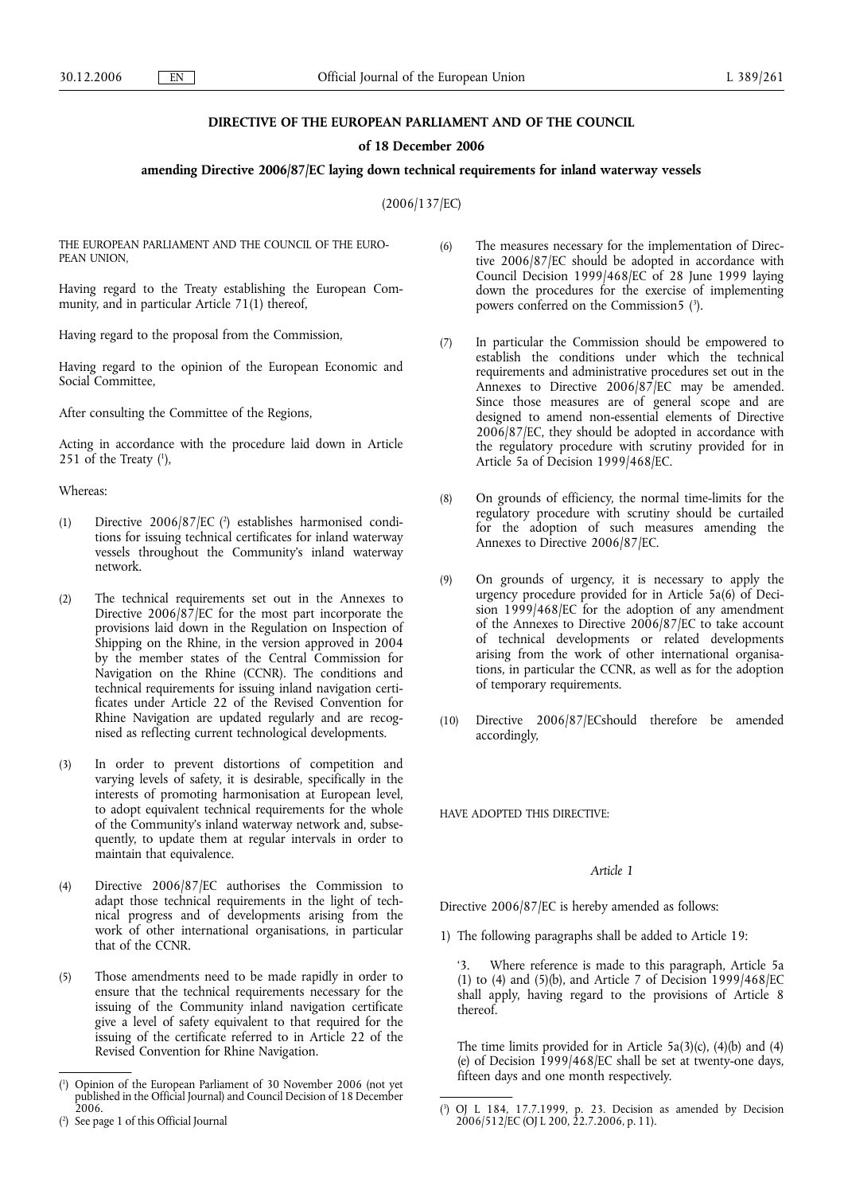## **DIRECTIVE OF THE EUROPEAN PARLIAMENT AND OF THE COUNCIL**

#### **of 18 December 2006**

## **amending Directive 2006/87/EC laying down technical requirements for inland waterway vessels**

(2006/137/EC)

THE EUROPEAN PARLIAMENT AND THE COUNCIL OF THE EURO-PEAN UNION,

Having regard to the Treaty establishing the European Community, and in particular Article 71(1) thereof,

Having regard to the proposal from the Commission,

Having regard to the opinion of the European Economic and Social Committee,

After consulting the Committee of the Regions,

Acting in accordance with the procedure laid down in Article 251 of the Treaty  $(1)$ ,

Whereas:

- (1) Directive 2006/87/EC (2 ) establishes harmonised conditions for issuing technical certificates for inland waterway vessels throughout the Community's inland waterway network.
- (2) The technical requirements set out in the Annexes to Directive 2006/87/EC for the most part incorporate the provisions laid down in the Regulation on Inspection of Shipping on the Rhine, in the version approved in 2004 by the member states of the Central Commission for Navigation on the Rhine (CCNR). The conditions and technical requirements for issuing inland navigation certificates under Article 22 of the Revised Convention for Rhine Navigation are updated regularly and are recognised as reflecting current technological developments.
- (3) In order to prevent distortions of competition and varying levels of safety, it is desirable, specifically in the interests of promoting harmonisation at European level, to adopt equivalent technical requirements for the whole of the Community's inland waterway network and, subsequently, to update them at regular intervals in order to maintain that equivalence.
- (4) Directive 2006/87/EC authorises the Commission to adapt those technical requirements in the light of technical progress and of developments arising from the work of other international organisations, in particular that of the CCNR.
- (5) Those amendments need to be made rapidly in order to ensure that the technical requirements necessary for the issuing of the Community inland navigation certificate give a level of safety equivalent to that required for the issuing of the certificate referred to in Article 22 of the Revised Convention for Rhine Navigation.
- (6) The measures necessary for the implementation of Directive 2006/87/EC should be adopted in accordance with Council Decision 1999/468/EC of 28 June 1999 laying down the procedures for the exercise of implementing powers conferred on the Commission5 (3 ).
- (7) In particular the Commission should be empowered to establish the conditions under which the technical requirements and administrative procedures set out in the Annexes to Directive 2006/87/EC may be amended. Since those measures are of general scope and are designed to amend non-essential elements of Directive 2006/87/EC, they should be adopted in accordance with the regulatory procedure with scrutiny provided for in Article 5a of Decision 1999/468/EC.
- (8) On grounds of efficiency, the normal time-limits for the regulatory procedure with scrutiny should be curtailed for the adoption of such measures amending the Annexes to Directive 2006/87/EC.
- (9) On grounds of urgency, it is necessary to apply the urgency procedure provided for in Article 5a(6) of Decision 1999/468/EC for the adoption of any amendment of the Annexes to Directive 2006/87/EC to take account of technical developments or related developments arising from the work of other international organisations, in particular the CCNR, as well as for the adoption of temporary requirements.
- (10) Directive 2006/87/ECshould therefore be amended accordingly,

HAVE ADOPTED THIS DIRECTIVE:

#### *Article 1*

Directive 2006/87/EC is hereby amended as follows:

1) The following paragraphs shall be added to Article 19:

'3. Where reference is made to this paragraph, Article 5a (1) to (4) and (5)(b), and Article 7 of Decision 1999/468/EC shall apply, having regard to the provisions of Article 8 thereof.

The time limits provided for in Article 5a(3)(c), (4)(b) and (4) (e) of Decision 1999/468/EC shall be set at twenty-one days, fifteen days and one month respectively.

<sup>(</sup> 1 ) Opinion of the European Parliament of 30 November 2006 (not yet published in the Official Journal) and Council Decision of 18 December 2006.

<sup>(</sup> 2 ) See page 1 of this Official Journal

<sup>(</sup> 3 ) OJ L 184, 17.7.1999, p. 23. Decision as amended by Decision 2006/512/EC (OJ L 200, 22.7.2006, p. 11).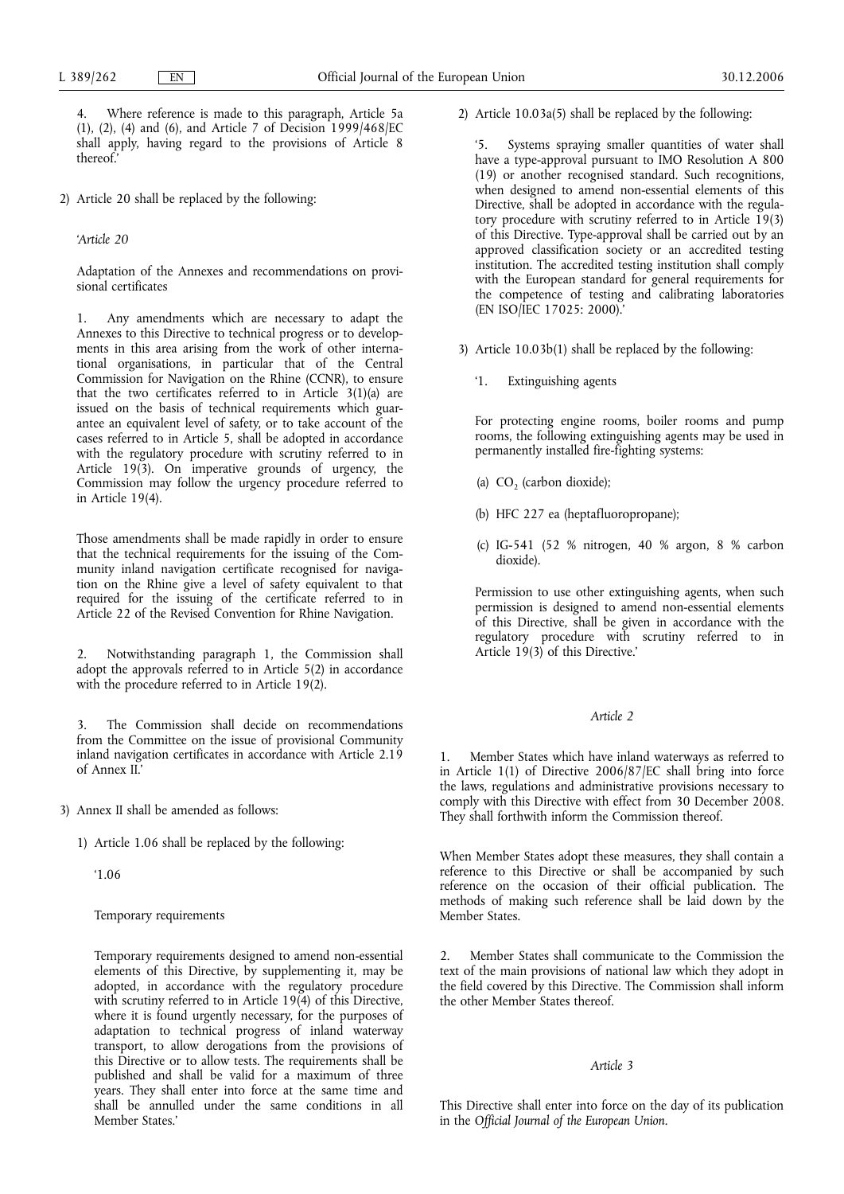4. Where reference is made to this paragraph, Article 5a (1), (2), (4) and (6), and Article 7 of Decision 1999/468/EC shall apply, having regard to the provisions of Article 8 thereof.'

2) Article 20 shall be replaced by the following:

*'Article 20*

Adaptation of the Annexes and recommendations on provisional certificates

1. Any amendments which are necessary to adapt the Annexes to this Directive to technical progress or to developments in this area arising from the work of other international organisations, in particular that of the Central Commission for Navigation on the Rhine (CCNR), to ensure that the two certificates referred to in Article 3(1)(a) are issued on the basis of technical requirements which guarantee an equivalent level of safety, or to take account of the cases referred to in Article 5, shall be adopted in accordance with the regulatory procedure with scrutiny referred to in Article 19(3). On imperative grounds of urgency, the Commission may follow the urgency procedure referred to in Article 19(4).

Those amendments shall be made rapidly in order to ensure that the technical requirements for the issuing of the Community inland navigation certificate recognised for navigation on the Rhine give a level of safety equivalent to that required for the issuing of the certificate referred to in Article 22 of the Revised Convention for Rhine Navigation.

2. Notwithstanding paragraph 1, the Commission shall adopt the approvals referred to in Article 5(2) in accordance with the procedure referred to in Article 19(2).

3. The Commission shall decide on recommendations from the Committee on the issue of provisional Community inland navigation certificates in accordance with Article 2.19 of Annex II.'

3) Annex II shall be amended as follows:

1) Article 1.06 shall be replaced by the following:

'1.06

Temporary requirements

Temporary requirements designed to amend non-essential elements of this Directive, by supplementing it, may be adopted, in accordance with the regulatory procedure with scrutiny referred to in Article 19(4) of this Directive, where it is found urgently necessary, for the purposes of adaptation to technical progress of inland waterway transport, to allow derogations from the provisions of this Directive or to allow tests. The requirements shall be published and shall be valid for a maximum of three years. They shall enter into force at the same time and shall be annulled under the same conditions in all Member States.'

2) Article 10.03a(5) shall be replaced by the following:

'5. Systems spraying smaller quantities of water shall have a type-approval pursuant to IMO Resolution A 800 (19) or another recognised standard. Such recognitions, when designed to amend non-essential elements of this Directive, shall be adopted in accordance with the regulatory procedure with scrutiny referred to in Article 19(3) of this Directive. Type-approval shall be carried out by an approved classification society or an accredited testing institution. The accredited testing institution shall comply with the European standard for general requirements for the competence of testing and calibrating laboratories (EN ISO/IEC 17025: 2000).

- 3) Article 10.03b(1) shall be replaced by the following:
	- '1. Extinguishing agents

For protecting engine rooms, boiler rooms and pump rooms, the following extinguishing agents may be used in permanently installed fire-fighting systems:

- (a)  $CO<sub>2</sub>$  (carbon dioxide);
- (b) HFC 227 ea (heptafluoropropane);
- (c) IG-541 (52 % nitrogen, 40 % argon, 8 % carbon dioxide).

Permission to use other extinguishing agents, when such permission is designed to amend non-essential elements of this Directive, shall be given in accordance with the regulatory procedure with scrutiny referred to in Article 19(3) of this Directive.'

### *Article 2*

1. Member States which have inland waterways as referred to in Article 1(1) of Directive 2006/87/EC shall bring into force the laws, regulations and administrative provisions necessary to comply with this Directive with effect from 30 December 2008. They shall forthwith inform the Commission thereof.

When Member States adopt these measures, they shall contain a reference to this Directive or shall be accompanied by such reference on the occasion of their official publication. The methods of making such reference shall be laid down by the Member States.

2. Member States shall communicate to the Commission the text of the main provisions of national law which they adopt in the field covered by this Directive. The Commission shall inform the other Member States thereof.

## *Article 3*

This Directive shall enter into force on the day of its publication in the *Official Journal of the European Union*.